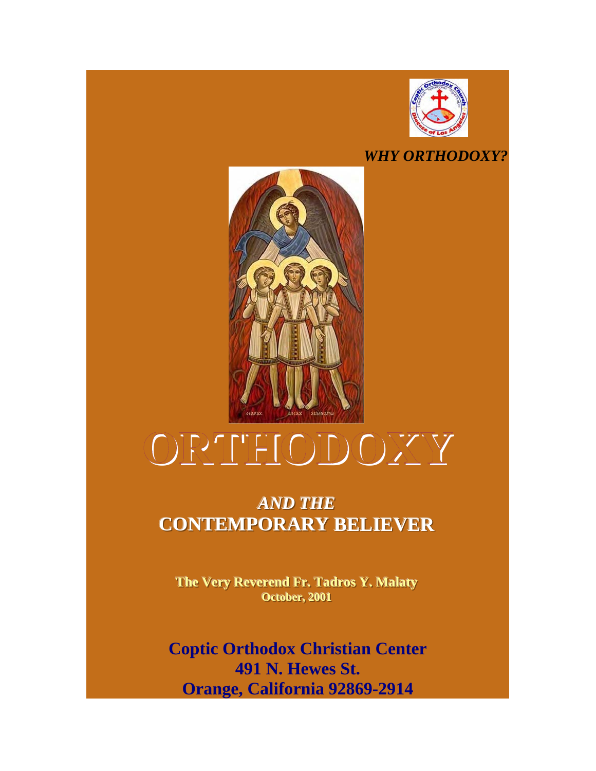

# *WHY ORTHODOXY?*



# **ORTHODOXY**

# *AND THE* **CONTEMPORARY BELIEVER**

**The Very Reverend Fr. Tadros Y. Malaty October, 2001** 

**Coptic Orthodox Christian Center 491 N. Hewes St. Orange, California 92869-2914**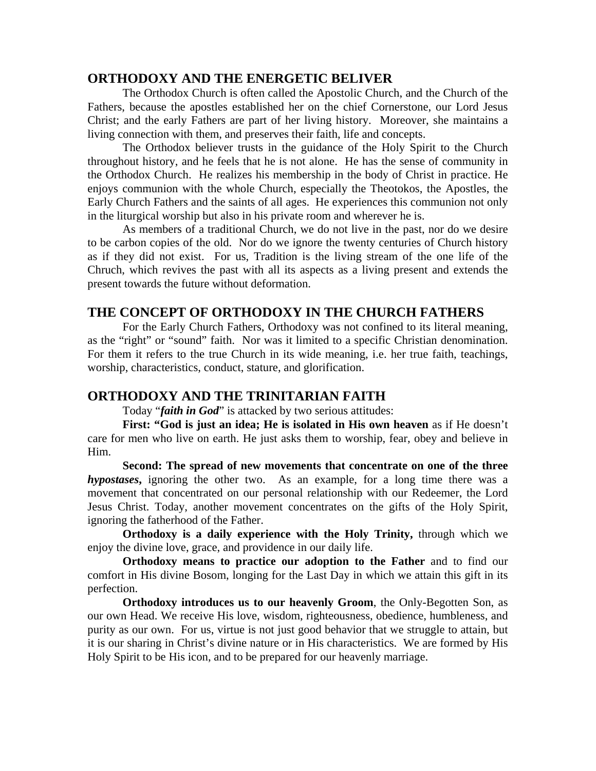# **ORTHODOXY AND THE ENERGETIC BELIVER**

 The Orthodox Church is often called the Apostolic Church, and the Church of the Fathers, because the apostles established her on the chief Cornerstone, our Lord Jesus Christ; and the early Fathers are part of her living history. Moreover, she maintains a living connection with them, and preserves their faith, life and concepts.

 The Orthodox believer trusts in the guidance of the Holy Spirit to the Church throughout history, and he feels that he is not alone. He has the sense of community in the Orthodox Church. He realizes his membership in the body of Christ in practice. He enjoys communion with the whole Church, especially the Theotokos, the Apostles, the Early Church Fathers and the saints of all ages. He experiences this communion not only in the liturgical worship but also in his private room and wherever he is.

As members of a traditional Church, we do not live in the past, nor do we desire to be carbon copies of the old. Nor do we ignore the twenty centuries of Church history as if they did not exist. For us, Tradition is the living stream of the one life of the Chruch, which revives the past with all its aspects as a living present and extends the present towards the future without deformation.

# **THE CONCEPT OF ORTHODOXY IN THE CHURCH FATHERS**

For the Early Church Fathers, Orthodoxy was not confined to its literal meaning, as the "right" or "sound" faith. Nor was it limited to a specific Christian denomination. For them it refers to the true Church in its wide meaning, i.e. her true faith, teachings, worship, characteristics, conduct, stature, and glorification.

# **ORTHODOXY AND THE TRINITARIAN FAITH**

Today "*faith in God*" is attacked by two serious attitudes:

**First: "God is just an idea; He is isolated in His own heaven** as if He doesn't care for men who live on earth. He just asks them to worship, fear, obey and believe in Him.

**Second: The spread of new movements that concentrate on one of the three**  *hypostases***,** ignoring the other two. As an example, for a long time there was a movement that concentrated on our personal relationship with our Redeemer, the Lord Jesus Christ. Today, another movement concentrates on the gifts of the Holy Spirit, ignoring the fatherhood of the Father.

**Orthodoxy is a daily experience with the Holy Trinity,** through which we enjoy the divine love, grace, and providence in our daily life.

**Orthodoxy means to practice our adoption to the Father** and to find our comfort in His divine Bosom, longing for the Last Day in which we attain this gift in its perfection.

**Orthodoxy introduces us to our heavenly Groom**, the Only-Begotten Son, as our own Head. We receive His love, wisdom, righteousness, obedience, humbleness, and purity as our own. For us, virtue is not just good behavior that we struggle to attain, but it is our sharing in Christ's divine nature or in His characteristics. We are formed by His Holy Spirit to be His icon, and to be prepared for our heavenly marriage.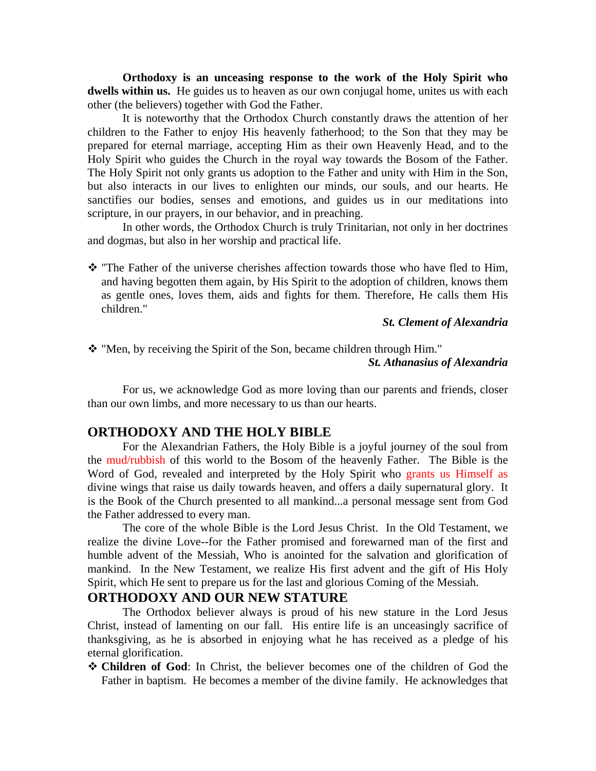**Orthodoxy is an unceasing response to the work of the Holy Spirit who dwells within us.** He guides us to heaven as our own conjugal home, unites us with each other (the believers) together with God the Father.

It is noteworthy that the Orthodox Church constantly draws the attention of her children to the Father to enjoy His heavenly fatherhood; to the Son that they may be prepared for eternal marriage, accepting Him as their own Heavenly Head, and to the Holy Spirit who guides the Church in the royal way towards the Bosom of the Father. The Holy Spirit not only grants us adoption to the Father and unity with Him in the Son, but also interacts in our lives to enlighten our minds, our souls, and our hearts. He sanctifies our bodies, senses and emotions, and guides us in our meditations into scripture, in our prayers, in our behavior, and in preaching.

In other words, the Orthodox Church is truly Trinitarian, not only in her doctrines and dogmas, but also in her worship and practical life.

 $\cdot \cdot$  "The Father of the universe cherishes affection towards those who have fled to Him, and having begotten them again, by His Spirit to the adoption of children, knows them as gentle ones, loves them, aids and fights for them. Therefore, He calls them His children."

 *St. Clement of Alexandria* 

"Men, by receiving the Spirit of the Son, became children through Him."

#### *St. Athanasius of Alexandria*

For us, we acknowledge God as more loving than our parents and friends, closer than our own limbs, and more necessary to us than our hearts.

# **ORTHODOXY AND THE HOLY BIBLE**

 For the Alexandrian Fathers, the Holy Bible is a joyful journey of the soul from the mud/rubbish of this world to the Bosom of the heavenly Father. The Bible is the Word of God, revealed and interpreted by the Holy Spirit who grants us Himself as divine wings that raise us daily towards heaven, and offers a daily supernatural glory. It is the Book of the Church presented to all mankind...a personal message sent from God the Father addressed to every man.

 The core of the whole Bible is the Lord Jesus Christ. In the Old Testament, we realize the divine Love--for the Father promised and forewarned man of the first and humble advent of the Messiah, Who is anointed for the salvation and glorification of mankind. In the New Testament, we realize His first advent and the gift of His Holy Spirit, which He sent to prepare us for the last and glorious Coming of the Messiah.

# **ORTHODOXY AND OUR NEW STATURE**

 The Orthodox believer always is proud of his new stature in the Lord Jesus Christ, instead of lamenting on our fall. His entire life is an unceasingly sacrifice of thanksgiving, as he is absorbed in enjoying what he has received as a pledge of his eternal glorification.

 **Children of God**: In Christ, the believer becomes one of the children of God the Father in baptism. He becomes a member of the divine family. He acknowledges that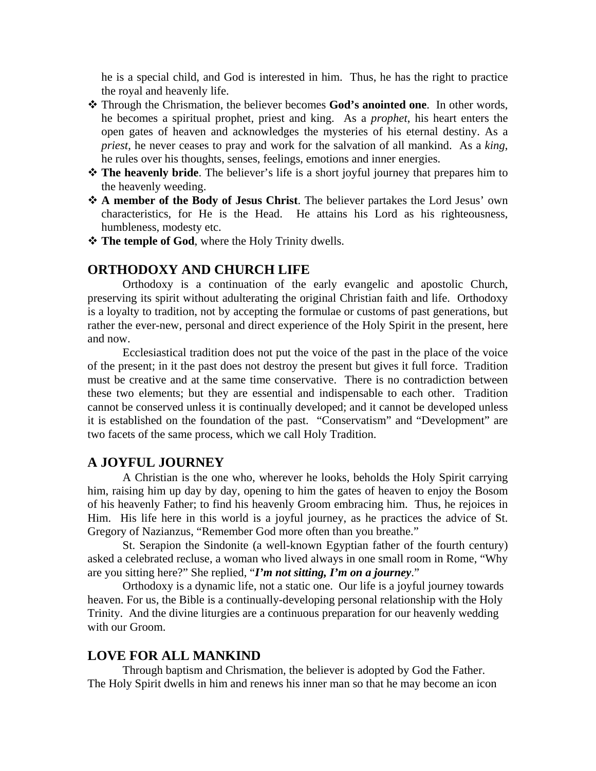he is a special child, and God is interested in him. Thus, he has the right to practice the royal and heavenly life.

- Through the Chrismation, the believer becomes **God's anointed one**. In other words, he becomes a spiritual prophet, priest and king. As a *prophet*, his heart enters the open gates of heaven and acknowledges the mysteries of his eternal destiny. As a *priest*, he never ceases to pray and work for the salvation of all mankind. As a *king*, he rules over his thoughts, senses, feelings, emotions and inner energies.
- **The heavenly bride**. The believer's life is a short joyful journey that prepares him to the heavenly weeding.
- **A member of the Body of Jesus Christ**. The believer partakes the Lord Jesus' own characteristics, for He is the Head. He attains his Lord as his righteousness, humbleness, modesty etc.
- **The temple of God**, where the Holy Trinity dwells.

# **ORTHODOXY AND CHURCH LIFE**

Orthodoxy is a continuation of the early evangelic and apostolic Church, preserving its spirit without adulterating the original Christian faith and life. Orthodoxy is a loyalty to tradition, not by accepting the formulae or customs of past generations, but rather the ever-new, personal and direct experience of the Holy Spirit in the present, here and now.

Ecclesiastical tradition does not put the voice of the past in the place of the voice of the present; in it the past does not destroy the present but gives it full force. Tradition must be creative and at the same time conservative. There is no contradiction between these two elements; but they are essential and indispensable to each other. Tradition cannot be conserved unless it is continually developed; and it cannot be developed unless it is established on the foundation of the past. "Conservatism" and "Development" are two facets of the same process, which we call Holy Tradition.

# **A JOYFUL JOURNEY**

A Christian is the one who, wherever he looks, beholds the Holy Spirit carrying him, raising him up day by day, opening to him the gates of heaven to enjoy the Bosom of his heavenly Father; to find his heavenly Groom embracing him. Thus, he rejoices in Him. His life here in this world is a joyful journey, as he practices the advice of St. Gregory of Nazianzus, "Remember God more often than you breathe."

 St. Serapion the Sindonite (a well-known Egyptian father of the fourth century) asked a celebrated recluse, a woman who lived always in one small room in Rome, "Why are you sitting here?" She replied, "*I'm not sitting, I'm on a journey*."

 Orthodoxy is a dynamic life, not a static one. Our life is a joyful journey towards heaven. For us, the Bible is a continually-developing personal relationship with the Holy Trinity. And the divine liturgies are a continuous preparation for our heavenly wedding with our Groom.

# **LOVE FOR ALL MANKIND**

Through baptism and Chrismation, the believer is adopted by God the Father. The Holy Spirit dwells in him and renews his inner man so that he may become an icon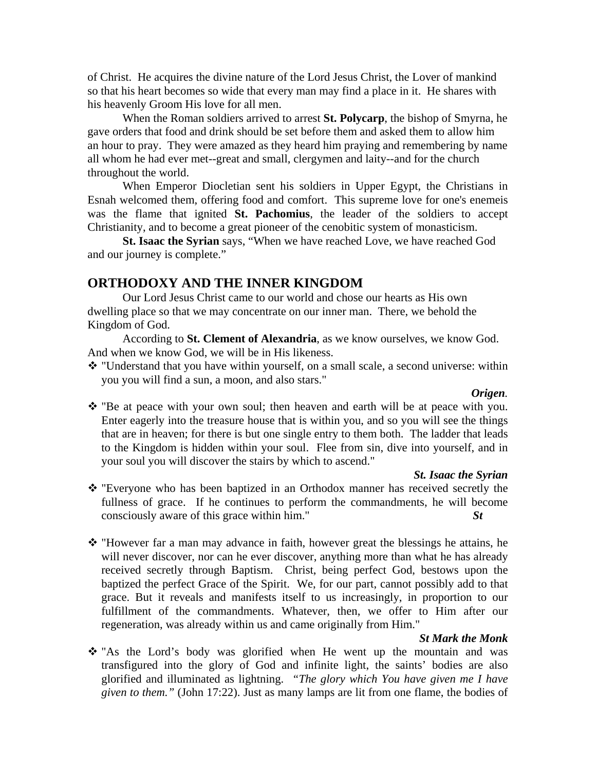of Christ. He acquires the divine nature of the Lord Jesus Christ, the Lover of mankind so that his heart becomes so wide that every man may find a place in it. He shares with his heavenly Groom His love for all men.

When the Roman soldiers arrived to arrest **St. Polycarp**, the bishop of Smyrna, he gave orders that food and drink should be set before them and asked them to allow him an hour to pray. They were amazed as they heard him praying and remembering by name all whom he had ever met--great and small, clergymen and laity--and for the church throughout the world.

When Emperor Diocletian sent his soldiers in Upper Egypt, the Christians in Esnah welcomed them, offering food and comfort. This supreme love for one's enemeis was the flame that ignited **St. Pachomius**, the leader of the soldiers to accept Christianity, and to become a great pioneer of the cenobitic system of monasticism.

**St. Isaac the Syrian** says, "When we have reached Love, we have reached God and our journey is complete."

# **ORTHODOXY AND THE INNER KINGDOM**

 Our Lord Jesus Christ came to our world and chose our hearts as His own dwelling place so that we may concentrate on our inner man. There, we behold the Kingdom of God.

 According to **St. Clement of Alexandria**, as we know ourselves, we know God. And when we know God, we will be in His likeness.

\* "Understand that you have within yourself, on a small scale, a second universe: within you you will find a sun, a moon, and also stars."

#### *Origen.*

\* "Be at peace with your own soul; then heaven and earth will be at peace with you. Enter eagerly into the treasure house that is within you, and so you will see the things that are in heaven; for there is but one single entry to them both. The ladder that leads to the Kingdom is hidden within your soul. Flee from sin, dive into yourself, and in your soul you will discover the stairs by which to ascend."

#### *St. Isaac the Syrian*

- "Everyone who has been baptized in an Orthodox manner has received secretly the fullness of grace. If he continues to perform the commandments, he will become consciously aware of this grace within him." *St*
- $\cdot \cdot$  "However far a man may advance in faith, however great the blessings he attains, he will never discover, nor can he ever discover, anything more than what he has already received secretly through Baptism. Christ, being perfect God, bestows upon the baptized the perfect Grace of the Spirit. We, for our part, cannot possibly add to that grace. But it reveals and manifests itself to us increasingly, in proportion to our fulfillment of the commandments. Whatever, then, we offer to Him after our regeneration, was already within us and came originally from Him."

#### *St Mark the Monk*

\* "As the Lord's body was glorified when He went up the mountain and was transfigured into the glory of God and infinite light, the saints' bodies are also glorified and illuminated as lightning. *"The glory which You have given me I have given to them."* (John 17:22). Just as many lamps are lit from one flame, the bodies of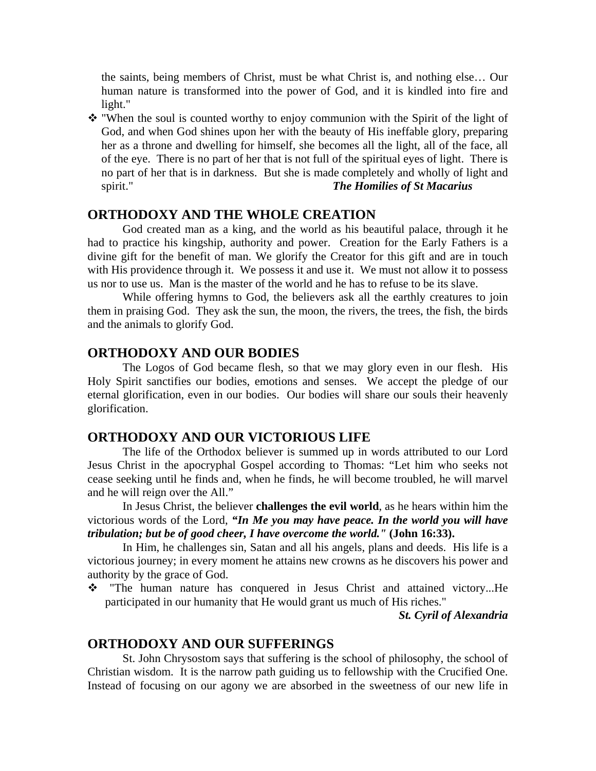the saints, being members of Christ, must be what Christ is, and nothing else… Our human nature is transformed into the power of God, and it is kindled into fire and light."

 "When the soul is counted worthy to enjoy communion with the Spirit of the light of God, and when God shines upon her with the beauty of His ineffable glory, preparing her as a throne and dwelling for himself, she becomes all the light, all of the face, all of the eye. There is no part of her that is not full of the spiritual eyes of light. There is no part of her that is in darkness. But she is made completely and wholly of light and spirit." *The Homilies of St Macarius* 

# **ORTHODOXY AND THE WHOLE CREATION**

 God created man as a king, and the world as his beautiful palace, through it he had to practice his kingship, authority and power. Creation for the Early Fathers is a divine gift for the benefit of man. We glorify the Creator for this gift and are in touch with His providence through it. We possess it and use it. We must not allow it to possess us nor to use us. Man is the master of the world and he has to refuse to be its slave.

 While offering hymns to God, the believers ask all the earthly creatures to join them in praising God. They ask the sun, the moon, the rivers, the trees, the fish, the birds and the animals to glorify God.

# **ORTHODOXY AND OUR BODIES**

 The Logos of God became flesh, so that we may glory even in our flesh. His Holy Spirit sanctifies our bodies, emotions and senses. We accept the pledge of our eternal glorification, even in our bodies. Our bodies will share our souls their heavenly glorification.

# **ORTHODOXY AND OUR VICTORIOUS LIFE**

The life of the Orthodox believer is summed up in words attributed to our Lord Jesus Christ in the apocryphal Gospel according to Thomas: "Let him who seeks not cease seeking until he finds and, when he finds, he will become troubled, he will marvel and he will reign over the All."

 In Jesus Christ, the believer **challenges the evil world**, as he hears within him the victorious words of the Lord, *"In Me you may have peace. In the world you will have tribulation; but be of good cheer, I have overcome the world."* **(John 16:33).** 

 In Him, he challenges sin, Satan and all his angels, plans and deeds. His life is a victorious journey; in every moment he attains new crowns as he discovers his power and authority by the grace of God.

\* "The human nature has conquered in Jesus Christ and attained victory...He participated in our humanity that He would grant us much of His riches."

*St. Cyril of Alexandria* 

#### **ORTHODOXY AND OUR SUFFERINGS**

 St. John Chrysostom says that suffering is the school of philosophy, the school of Christian wisdom. It is the narrow path guiding us to fellowship with the Crucified One. Instead of focusing on our agony we are absorbed in the sweetness of our new life in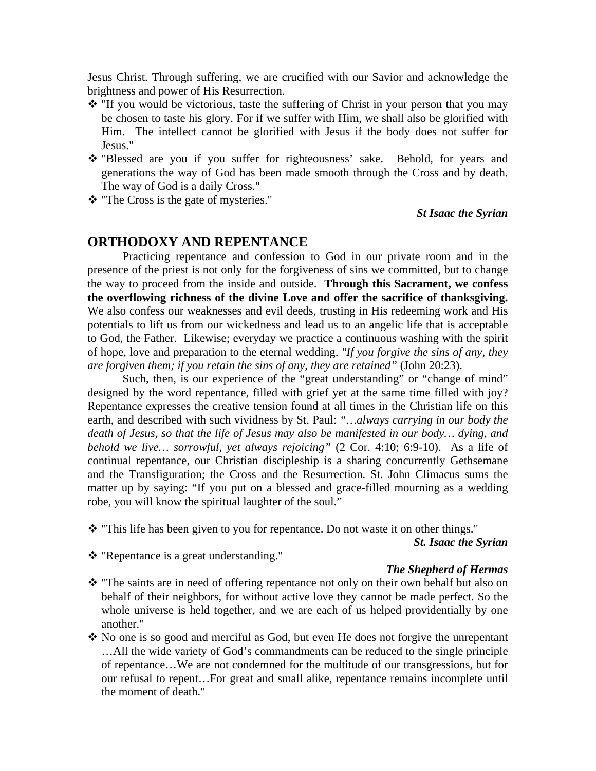Jesus Christ. Through suffering, we are crucified with our Savior and acknowledge the brightness and power of His Resurrection.

- $\cdot$  "If you would be victorious, taste the suffering of Christ in your person that you may be chosen to taste his glory. For if we suffer with Him, we shall also be glorified with Him. The intellect cannot be glorified with Jesus if the body does not suffer for Jesus."
- "Blessed are you if you suffer for righteousness' sake. Behold, for years and generations the way of God has been made smooth through the Cross and by death. The way of God is a daily Cross."
- \* "The Cross is the gate of mysteries."

#### *St Isaac the Syrian*

# **ORTHODOXY AND REPENTANCE**

Practicing repentance and confession to God in our private room and in the presence of the priest is not only for the forgiveness of sins we committed, but to change the way to proceed from the inside and outside. **Through this Sacrament, we confess the overflowing richness of the divine Love and offer the sacrifice of thanksgiving.**  We also confess our weaknesses and evil deeds, trusting in His redeeming work and His potentials to lift us from our wickedness and lead us to an angelic life that is acceptable to God, the Father. Likewise; everyday we practice a continuous washing with the spirit of hope, love and preparation to the eternal wedding. *"If you forgive the sins of any, they are forgiven them; if you retain the sins of any, they are retained"* (John 20:23).

Such, then, is our experience of the "great understanding" or "change of mind" designed by the word repentance, filled with grief yet at the same time filled with joy? Repentance expresses the creative tension found at all times in the Christian life on this earth, and described with such vividness by St. Paul: *"…always carrying in our body the death of Jesus, so that the life of Jesus may also be manifested in our body… dying, and behold we live… sorrowful, yet always rejoicing"* (2 Cor. 4:10; 6:9-10). As a life of continual repentance, our Christian discipleship is a sharing concurrently Gethsemane and the Transfiguration; the Cross and the Resurrection. St. John Climacus sums the matter up by saying: "If you put on a blessed and grace-filled mourning as a wedding robe, you will know the spiritual laughter of the soul."

\* "This life has been given to you for repentance. Do not waste it on other things."

*St. Isaac the Syrian* 

"Repentance is a great understanding."

#### *The Shepherd of Hermas*

- \* "The saints are in need of offering repentance not only on their own behalf but also on behalf of their neighbors, for without active love they cannot be made perfect. So the whole universe is held together, and we are each of us helped providentially by one another."
- No one is so good and merciful as God, but even He does not forgive the unrepentant …All the wide variety of God's commandments can be reduced to the single principle of repentance…We are not condemned for the multitude of our transgressions, but for our refusal to repent…For great and small alike, repentance remains incomplete until the moment of death."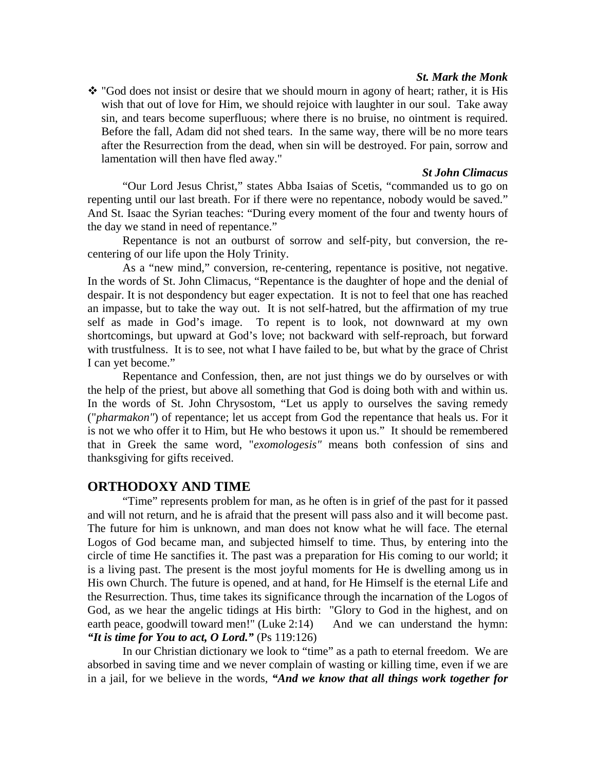#### *St. Mark the Monk*

\* "God does not insist or desire that we should mourn in agony of heart; rather, it is His wish that out of love for Him, we should rejoice with laughter in our soul. Take away sin, and tears become superfluous; where there is no bruise, no ointment is required. Before the fall, Adam did not shed tears. In the same way, there will be no more tears after the Resurrection from the dead, when sin will be destroyed. For pain, sorrow and lamentation will then have fled away."

#### *St John Climacus*

"Our Lord Jesus Christ," states Abba Isaias of Scetis, "commanded us to go on repenting until our last breath. For if there were no repentance, nobody would be saved." And St. Isaac the Syrian teaches: "During every moment of the four and twenty hours of the day we stand in need of repentance."

Repentance is not an outburst of sorrow and self-pity, but conversion, the recentering of our life upon the Holy Trinity.

As a "new mind," conversion, re-centering, repentance is positive, not negative. In the words of St. John Climacus, "Repentance is the daughter of hope and the denial of despair. It is not despondency but eager expectation. It is not to feel that one has reached an impasse, but to take the way out. It is not self-hatred, but the affirmation of my true self as made in God's image. To repent is to look, not downward at my own shortcomings, but upward at God's love; not backward with self-reproach, but forward with trustfulness. It is to see, not what I have failed to be, but what by the grace of Christ I can yet become."

Repentance and Confession, then, are not just things we do by ourselves or with the help of the priest, but above all something that God is doing both with and within us. In the words of St. John Chrysostom, "Let us apply to ourselves the saving remedy ("*pharmakon"*) of repentance; let us accept from God the repentance that heals us. For it is not we who offer it to Him, but He who bestows it upon us." It should be remembered that in Greek the same word, "*exomologesis"* means both confession of sins and thanksgiving for gifts received.

#### **ORTHODOXY AND TIME**

 "Time" represents problem for man, as he often is in grief of the past for it passed and will not return, and he is afraid that the present will pass also and it will become past. The future for him is unknown, and man does not know what he will face. The eternal Logos of God became man, and subjected himself to time. Thus, by entering into the circle of time He sanctifies it. The past was a preparation for His coming to our world; it is a living past. The present is the most joyful moments for He is dwelling among us in His own Church. The future is opened, and at hand, for He Himself is the eternal Life and the Resurrection. Thus, time takes its significance through the incarnation of the Logos of God, as we hear the angelic tidings at His birth: "Glory to God in the highest, and on earth peace, goodwill toward men!" (Luke  $2:14$ ) And we can understand the hymn: *"It is time for You to act, O Lord."* (Ps 119:126)

 In our Christian dictionary we look to "time" as a path to eternal freedom. We are absorbed in saving time and we never complain of wasting or killing time, even if we are in a jail, for we believe in the words, *"And we know that all things work together for*